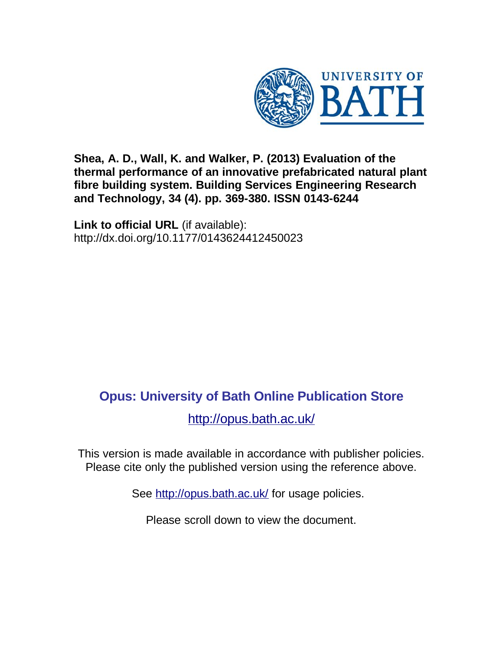

**Shea, A. D., Wall, K. and Walker, P. (2013) Evaluation of the thermal performance of an innovative prefabricated natural plant fibre building system. Building Services Engineering Research and Technology, 34 (4). pp. 369-380. ISSN 0143-6244**

**Link to official URL** (if available): http://dx.doi.org/10.1177/0143624412450023

## **Opus: University of Bath Online Publication Store**

<http://opus.bath.ac.uk/>

This version is made available in accordance with publisher policies. Please cite only the published version using the reference above.

See<http://opus.bath.ac.uk/> for usage policies.

Please scroll down to view the document.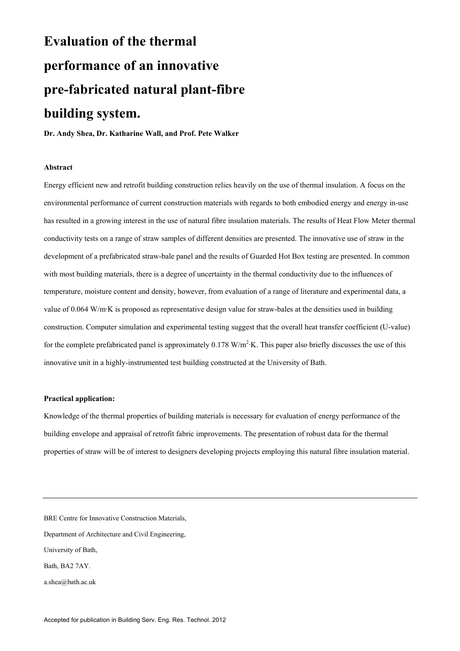# **Evaluation of the thermal performance of an innovative pre-fabricated natural plant-fibre building system.**

**Dr. Andy Shea, Dr. Katharine Wall, and Prof. Pete Walker** 

### **Abstract**

Energy efficient new and retrofit building construction relies heavily on the use of thermal insulation. A focus on the environmental performance of current construction materials with regards to both embodied energy and energy in-use has resulted in a growing interest in the use of natural fibre insulation materials. The results of Heat Flow Meter thermal conductivity tests on a range of straw samples of different densities are presented. The innovative use of straw in the development of a prefabricated straw-bale panel and the results of Guarded Hot Box testing are presented. In common with most building materials, there is a degree of uncertainty in the thermal conductivity due to the influences of temperature, moisture content and density, however, from evaluation of a range of literature and experimental data, a value of 0.064 W/m·K is proposed as representative design value for straw-bales at the densities used in building construction. Computer simulation and experimental testing suggest that the overall heat transfer coefficient (U-value) for the complete prefabricated panel is approximately  $0.178 \text{ W/m}^2$ ·K. This paper also briefly discusses the use of this innovative unit in a highly-instrumented test building constructed at the University of Bath.

### **Practical application:**

Knowledge of the thermal properties of building materials is necessary for evaluation of energy performance of the building envelope and appraisal of retrofit fabric improvements. The presentation of robust data for the thermal properties of straw will be of interest to designers developing projects employing this natural fibre insulation material.

BRE Centre for Innovative Construction Materials, Department of Architecture and Civil Engineering, University of Bath, Bath, BA2 7AY. a.shea@bath.ac.uk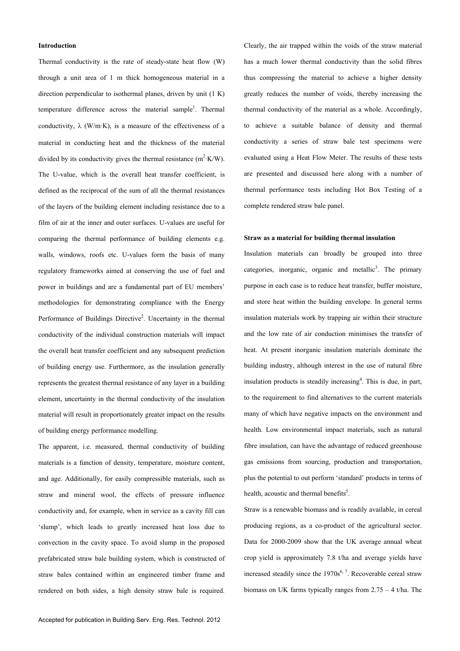### **Introduction**

Thermal conductivity is the rate of steady-state heat flow (W) through a unit area of 1 m thick homogeneous material in a direction perpendicular to isothermal planes, driven by unit (1 K) temperature difference across the material sample<sup>1</sup>. Thermal conductivity,  $\lambda$  (W/m·K), is a measure of the effectiveness of a material in conducting heat and the thickness of the material divided by its conductivity gives the thermal resistance  $(m^2 \cdot K/W)$ . The U-value, which is the overall heat transfer coefficient, is defined as the reciprocal of the sum of all the thermal resistances of the layers of the building element including resistance due to a film of air at the inner and outer surfaces. U-values are useful for comparing the thermal performance of building elements e.g. walls, windows, roofs etc. U-values form the basis of many regulatory frameworks aimed at conserving the use of fuel and power in buildings and are a fundamental part of EU members' methodologies for demonstrating compliance with the Energy Performance of Buildings Directive<sup>2</sup>. Uncertainty in the thermal conductivity of the individual construction materials will impact the overall heat transfer coefficient and any subsequent prediction of building energy use. Furthermore, as the insulation generally represents the greatest thermal resistance of any layer in a building element, uncertainty in the thermal conductivity of the insulation material will result in proportionately greater impact on the results of building energy performance modelling.

The apparent, i.e. measured, thermal conductivity of building materials is a function of density, temperature, moisture content, and age. Additionally, for easily compressible materials, such as straw and mineral wool, the effects of pressure influence conductivity and, for example, when in service as a cavity fill can 'slump', which leads to greatly increased heat loss due to convection in the cavity space. To avoid slump in the proposed prefabricated straw bale building system, which is constructed of straw bales contained within an engineered timber frame and rendered on both sides, a high density straw bale is required.

Clearly, the air trapped within the voids of the straw material has a much lower thermal conductivity than the solid fibres thus compressing the material to achieve a higher density greatly reduces the number of voids, thereby increasing the thermal conductivity of the material as a whole. Accordingly, to achieve a suitable balance of density and thermal conductivity a series of straw bale test specimens were evaluated using a Heat Flow Meter. The results of these tests are presented and discussed here along with a number of thermal performance tests including Hot Box Testing of a complete rendered straw bale panel.

#### **Straw as a material for building thermal insulation**

Insulation materials can broadly be grouped into three categories, inorganic, organic and metallic<sup>3</sup>. The primary purpose in each case is to reduce heat transfer, buffer moisture, and store heat within the building envelope. In general terms insulation materials work by trapping air within their structure and the low rate of air conduction minimises the transfer of heat. At present inorganic insulation materials dominate the building industry, although interest in the use of natural fibre insulation products is steadily increasing<sup>4</sup>. This is due, in part, to the requirement to find alternatives to the current materials many of which have negative impacts on the environment and health. Low environmental impact materials, such as natural fibre insulation, can have the advantage of reduced greenhouse gas emissions from sourcing, production and transportation, plus the potential to out perform 'standard' products in terms of health, acoustic and thermal benefits<sup>5</sup>.

Straw is a renewable biomass and is readily available, in cereal producing regions, as a co-product of the agricultural sector. Data for 2000-2009 show that the UK average annual wheat crop yield is approximately 7.8 t/ha and average yields have increased steadily since the  $1970s^{6, 7}$ . Recoverable cereal straw biomass on UK farms typically ranges from 2.75 – 4 t/ha. The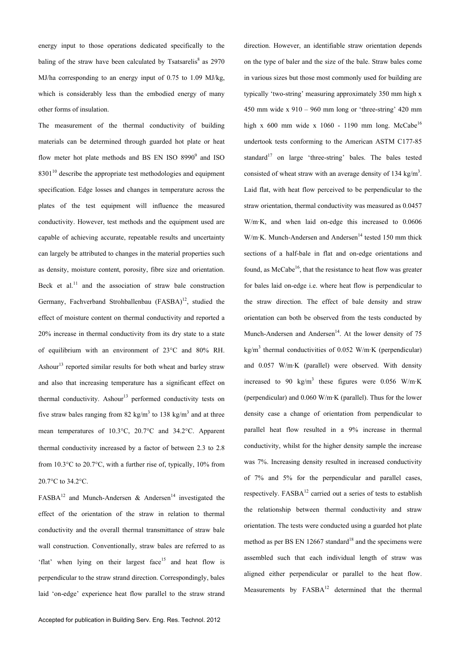energy input to those operations dedicated specifically to the baling of the straw have been calculated by Tsatsarelis<sup>8</sup> as 2970 MJ/ha corresponding to an energy input of 0.75 to 1.09 MJ/kg, which is considerably less than the embodied energy of many other forms of insulation.

The measurement of the thermal conductivity of building materials can be determined through guarded hot plate or heat flow meter hot plate methods and BS EN ISO 8990<sup>9</sup> and ISO  $8301<sup>10</sup>$  describe the appropriate test methodologies and equipment specification. Edge losses and changes in temperature across the plates of the test equipment will influence the measured conductivity. However, test methods and the equipment used are capable of achieving accurate, repeatable results and uncertainty can largely be attributed to changes in the material properties such as density, moisture content, porosity, fibre size and orientation. Beck et al. $11$  and the association of straw bale construction Germany, Fachverband Strohballenbau  $(FASBA)^{12}$ , studied the effect of moisture content on thermal conductivity and reported a 20% increase in thermal conductivity from its dry state to a state of equilibrium with an environment of 23°C and 80% RH. Ashour $^{13}$  reported similar results for both wheat and barley straw and also that increasing temperature has a significant effect on thermal conductivity. Ashour<sup>13</sup> performed conductivity tests on five straw bales ranging from 82 kg/m<sup>3</sup> to 138 kg/m<sup>3</sup> and at three mean temperatures of 10.3°C, 20.7°C and 34.2°C. Apparent thermal conductivity increased by a factor of between 2.3 to 2.8 from 10.3°C to 20.7°C, with a further rise of, typically, 10% from 20.7°C to 34.2°C.

 $FASBA<sup>12</sup>$  and Munch-Andersen & Andersen<sup>14</sup> investigated the effect of the orientation of the straw in relation to thermal conductivity and the overall thermal transmittance of straw bale wall construction. Conventionally, straw bales are referred to as 'flat' when lying on their largest face<sup>15</sup> and heat flow is perpendicular to the straw strand direction. Correspondingly, bales laid 'on-edge' experience heat flow parallel to the straw strand

Accepted for publication in Building Serv. Eng. Res. Technol. 2012

direction. However, an identifiable straw orientation depends on the type of baler and the size of the bale. Straw bales come in various sizes but those most commonly used for building are typically 'two-string' measuring approximately 350 mm high x 450 mm wide x 910 – 960 mm long or 'three-string' 420 mm high x 600 mm wide x 1060 - 1190 mm long.  $McCabe<sup>16</sup>$ undertook tests conforming to the American ASTM C177-85 standard<sup>17</sup> on large 'three-string' bales. The bales tested consisted of wheat straw with an average density of 134 kg/m<sup>3</sup>. Laid flat, with heat flow perceived to be perpendicular to the straw orientation, thermal conductivity was measured as 0.0457 W/m·K, and when laid on-edge this increased to 0.0606 W/m·K. Munch-Andersen and Andersen<sup>14</sup> tested 150 mm thick sections of a half-bale in flat and on-edge orientations and found, as  $McCabe<sup>16</sup>$ , that the resistance to heat flow was greater for bales laid on-edge i.e. where heat flow is perpendicular to the straw direction. The effect of bale density and straw orientation can both be observed from the tests conducted by Munch-Andersen and Andersen<sup>14</sup>. At the lower density of 75 kg/m<sup>3</sup> thermal conductivities of 0.052 W/m·K (perpendicular) and 0.057 W/m·K (parallel) were observed. With density increased to 90 kg/m<sup>3</sup> these figures were 0.056 W/m·K (perpendicular) and 0.060 W/m·K (parallel). Thus for the lower density case a change of orientation from perpendicular to parallel heat flow resulted in a 9% increase in thermal conductivity, whilst for the higher density sample the increase was 7%. Increasing density resulted in increased conductivity of 7% and 5% for the perpendicular and parallel cases, respectively. FASBA<sup>12</sup> carried out a series of tests to establish the relationship between thermal conductivity and straw orientation. The tests were conducted using a guarded hot plate method as per BS EN 12667 standard<sup>18</sup> and the specimens were assembled such that each individual length of straw was aligned either perpendicular or parallel to the heat flow. Measurements by  $FASBA<sup>12</sup>$  determined that the thermal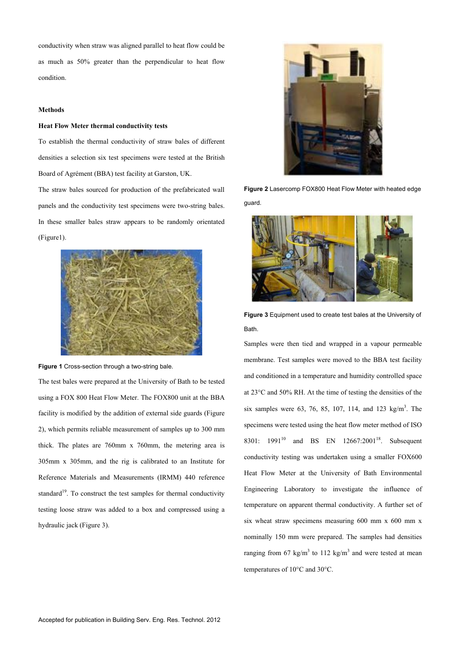conductivity when straw was aligned parallel to heat flow could be as much as 50% greater than the perpendicular to heat flow condition.

### **Methods**

### **Heat Flow Meter thermal conductivity tests**

To establish the thermal conductivity of straw bales of different densities a selection six test specimens were tested at the British Board of Agrément (BBA) test facility at Garston, UK.

The straw bales sourced for production of the prefabricated wall panels and the conductivity test specimens were two-string bales. In these smaller bales straw appears to be randomly orientated (Figure1).



**Figure 1** Cross-section through a two-string bale.

The test bales were prepared at the University of Bath to be tested using a FOX 800 Heat Flow Meter. The FOX800 unit at the BBA facility is modified by the addition of external side guards (Figure 2), which permits reliable measurement of samples up to 300 mm thick. The plates are 760mm x 760mm, the metering area is 305mm x 305mm, and the rig is calibrated to an Institute for Reference Materials and Measurements (IRMM) 440 reference standard<sup>19</sup>. To construct the test samples for thermal conductivity testing loose straw was added to a box and compressed using a hydraulic jack (Figure 3).



**Figure 2** Lasercomp FOX800 Heat Flow Meter with heated edge guard.



**Figure 3** Equipment used to create test bales at the University of Bath.

Samples were then tied and wrapped in a vapour permeable membrane. Test samples were moved to the BBA test facility and conditioned in a temperature and humidity controlled space at 23°C and 50% RH. At the time of testing the densities of the six samples were 63, 76, 85, 107, 114, and 123 kg/m<sup>3</sup>. The specimens were tested using the heat flow meter method of ISO 8301:  $1991^{10}$  and BS EN  $12667:2001^{18}$ . Subsequent conductivity testing was undertaken using a smaller FOX600 Heat Flow Meter at the University of Bath Environmental Engineering Laboratory to investigate the influence of temperature on apparent thermal conductivity. A further set of six wheat straw specimens measuring 600 mm x 600 mm x nominally 150 mm were prepared. The samples had densities ranging from 67 kg/m<sup>3</sup> to 112 kg/m<sup>3</sup> and were tested at mean temperatures of 10°C and 30°C.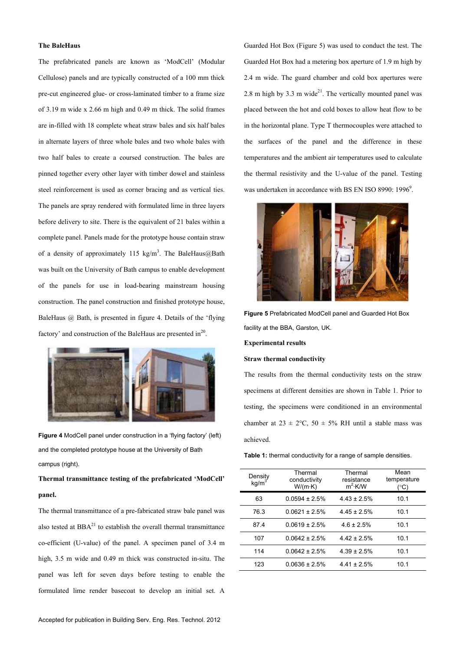### **The BaleHaus**

The prefabricated panels are known as 'ModCell' (Modular Cellulose) panels and are typically constructed of a 100 mm thick pre-cut engineered glue- or cross-laminated timber to a frame size of 3.19 m wide x 2.66 m high and 0.49 m thick. The solid frames are in-filled with 18 complete wheat straw bales and six half bales in alternate layers of three whole bales and two whole bales with two half bales to create a coursed construction. The bales are pinned together every other layer with timber dowel and stainless steel reinforcement is used as corner bracing and as vertical ties. The panels are spray rendered with formulated lime in three layers before delivery to site. There is the equivalent of 21 bales within a complete panel. Panels made for the prototype house contain straw of a density of approximately 115 kg/m<sup>3</sup>. The BaleHaus@Bath was built on the University of Bath campus to enable development of the panels for use in load-bearing mainstream housing construction. The panel construction and finished prototype house, BaleHaus @ Bath, is presented in figure 4. Details of the 'flying factory' and construction of the BaleHaus are presented in<sup>20</sup>.



**Figure 4** ModCell panel under construction in a 'flying factory' (left) and the completed prototype house at the University of Bath campus (right).

### **Thermal transmittance testing of the prefabricated 'ModCell' panel.**

The thermal transmittance of a pre-fabricated straw bale panel was also tested at  $BBA<sup>21</sup>$  to establish the overall thermal transmittance co-efficient (U-value) of the panel. A specimen panel of 3.4 m high, 3.5 m wide and 0.49 m thick was constructed in-situ. The panel was left for seven days before testing to enable the formulated lime render basecoat to develop an initial set. A

Guarded Hot Box (Figure 5) was used to conduct the test. The Guarded Hot Box had a metering box aperture of 1.9 m high by 2.4 m wide. The guard chamber and cold box apertures were 2.8 m high by 3.3 m wide<sup>21</sup>. The vertically mounted panel was placed between the hot and cold boxes to allow heat flow to be in the horizontal plane. Type T thermocouples were attached to the surfaces of the panel and the difference in these temperatures and the ambient air temperatures used to calculate the thermal resistivity and the U-value of the panel. Testing was undertaken in accordance with BS EN ISO 8990: 1996<sup>9</sup>.



**Figure 5** Prefabricated ModCell panel and Guarded Hot Box facility at the BBA, Garston, UK.

### **Experimental results**

### **Straw thermal conductivity**

The results from the thermal conductivity tests on the straw specimens at different densities are shown in Table 1. Prior to testing, the specimens were conditioned in an environmental chamber at  $23 \pm 2$ °C,  $50 \pm 5$ % RH until a stable mass was achieved.

**Table 1:** thermal conductivity for a range of sample densities.

| Density<br>kg/m <sup>3</sup> | Thermal<br>conductivity<br>W/(m·K) | Thermal<br>resistance<br>$m^2$ ·K/W | Mean<br>temperature<br>(°C) |
|------------------------------|------------------------------------|-------------------------------------|-----------------------------|
| 63                           | $0.0594 \pm 2.5\%$                 | $4.43 \pm 2.5\%$                    | 10.1                        |
| 76.3                         | $0.0621 \pm 2.5\%$                 | $4.45 \pm 2.5%$                     | 10.1                        |
| 87.4                         | $0.0619 \pm 2.5\%$                 | $4.6 \pm 2.5\%$                     | 10.1                        |
| 107                          | $0.0642 \pm 2.5\%$                 | $4.42 \pm 2.5%$                     | 10.1                        |
| 114                          | $0.0642 \pm 2.5\%$                 | $4.39 \pm 2.5\%$                    | 10.1                        |
| 123                          | $0.0636 \pm 2.5\%$                 | $4.41 \pm 2.5%$                     | 10.1                        |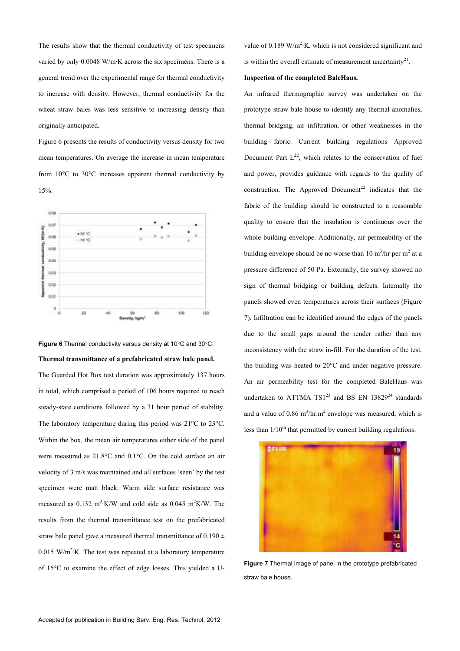The results show that the thermal conductivity of test specimens varied by only 0.0048 W/m·K across the six specimens. There is a general trend over the experimental range for thermal conductivity to increase with density. However, thermal conductivity for the wheat straw bales was less sensitive to increasing density than originally anticipated.

Figure 6 presents the results of conductivity versus density for two mean temperatures. On average the increase in mean temperature from 10°C to 30°C increases apparent thermal conductivity by 15%.



**Figure 6** Thermal conductivity versus density at 10°C and 30°C.

**Thermal transmittance of a prefabricated straw bale panel.**  The Guarded Hot Box test duration was approximately 137 hours in total, which comprised a period of 106 hours required to reach steady-state conditions followed by a 31 hour period of stability. The laboratory temperature during this period was 21°C to 23°C. Within the box, the mean air temperatures either side of the panel were measured as 21.8°C and 0.1°C. On the cold surface an air velocity of 3 m/s was maintained and all surfaces 'seen' by the test specimen were matt black. Warm side surface resistance was measured as  $0.132 \text{ m}^2 \cdot \text{K/W}$  and cold side as  $0.045 \text{ m}^2 \text{K/W}$ . The results from the thermal transmittance test on the prefabricated straw bale panel gave a measured thermal transmittance of  $0.190 \pm$  $0.015$  W/m<sup>2</sup>·K. The test was repeated at a laboratory temperature of 15°C to examine the effect of edge losses. This yielded a U-

value of  $0.189 \text{ W/m}^2$  K, which is not considered significant and is within the overall estimate of measurement uncertainty<sup>21</sup>.

### **Inspection of the completed BaleHaus.**

An infrared thermographic survey was undertaken on the prototype straw bale house to identify any thermal anomalies, thermal bridging, air infiltration, or other weaknesses in the building fabric. Current building regulations Approved Document Part  $L^{22}$ , which relates to the conservation of fuel and power, provides guidance with regards to the quality of construction. The Approved Document<sup>22</sup> indicates that the fabric of the building should be constructed to a reasonable quality to ensure that the insulation is continuous over the whole building envelope. Additionally, air permeability of the building envelope should be no worse than 10 m<sup>3</sup>/hr per m<sup>2</sup> at a pressure difference of 50 Pa. Externally, the survey showed no sign of thermal bridging or building defects. Internally the panels showed even temperatures across their surfaces (Figure 7). Infiltration can be identified around the edges of the panels due to the small gaps around the render rather than any inconsistency with the straw in-fill. For the duration of the test, the building was heated to 20°C and under negative pressure. An air permeability test for the completed BaleHaus was undertaken to ATTMA TS1<sup>23</sup> and BS EN 13829<sup>24</sup> standards and a value of  $0.86 \text{ m}^3/\text{hr}$ .m<sup>2</sup> envelope was measured, which is less than  $1/10<sup>th</sup>$  that permitted by current building regulations.



**Figure 7** Thermal image of panel in the prototype prefabricated straw bale house.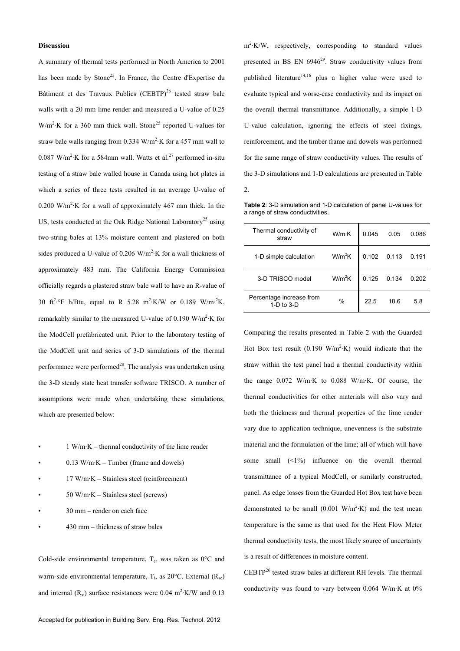### **Discussion**

A summary of thermal tests performed in North America to 2001 has been made by Stone<sup>25</sup>. In France, the Centre d'Expertise du Bâtiment et des Travaux Publics (CEBTP)<sup>26</sup> tested straw bale walls with a 20 mm lime render and measured a U-value of 0.25 W/m<sup>2</sup>·K for a 360 mm thick wall. Stone<sup>25</sup> reported U-values for straw bale walls ranging from 0.334  $W/m^2$  K for a 457 mm wall to  $0.087$  W/m<sup>2</sup>·K for a 584mm wall. Watts et al.<sup>27</sup> performed in-situ testing of a straw bale walled house in Canada using hot plates in which a series of three tests resulted in an average U-value of  $0.200$  W/m<sup>2</sup>·K for a wall of approximately 467 mm thick. In the US, tests conducted at the Oak Ridge National Laboratory<sup>25</sup> using two-string bales at 13% moisture content and plastered on both sides produced a U-value of 0.206 W/m<sup>2</sup> $\cdot$ K for a wall thickness of approximately 483 mm. The California Energy Commission officially regards a plastered straw bale wall to have an R-value of 30 ft<sup>2</sup>. °F h/Btu, equal to R 5.28 m<sup>2</sup>·K/W or 0.189 W/m<sup>2</sup>K, remarkably similar to the measured U-value of  $0.190 \text{ W/m}^2$ ·K for the ModCell prefabricated unit. Prior to the laboratory testing of the ModCell unit and series of 3-D simulations of the thermal performance were performed<sup>28</sup>. The analysis was undertaken using the 3-D steady state heat transfer software TRISCO. A number of assumptions were made when undertaking these simulations, which are presented below:

- $1$  W/m·K thermal conductivity of the lime render
- $0.13$  W/m·K Timber (frame and dowels)
- $17 W/m·K Stainless steel (reinforcement)$
- $50 W/m·K Stainless steel (screws)$
- 30 mm render on each face
- 430 mm thickness of straw bales

Cold-side environmental temperature,  $T_e$ , was taken as  $0^{\circ}$ C and warm-side environmental temperature,  $T_i$ , as 20°C. External  $(R_{se})$ and internal  $(R_{si})$  surface resistances were 0.04 m<sup>2</sup>·K/W and 0.13

m<sup>2</sup>·K/W, respectively, corresponding to standard values presented in BS EN  $6946^{29}$ . Straw conductivity values from published literature<sup>14,16</sup> plus a higher value were used to evaluate typical and worse-case conductivity and its impact on the overall thermal transmittance. Additionally, a simple 1-D U-value calculation, ignoring the effects of steel fixings, reinforcement, and the timber frame and dowels was performed for the same range of straw conductivity values. The results of the 3-D simulations and 1-D calculations are presented in Table  $\mathfrak{D}$ 

**Table 2**: 3-D simulation and 1-D calculation of panel U-values for a range of straw conductivities.

| Thermal conductivity of<br>straw           | W/m·K    | 0.045 | 0.05        | 0.086 |
|--------------------------------------------|----------|-------|-------------|-------|
| 1-D simple calculation                     | $W/m^2K$ |       | 0.102 0.113 | 0.191 |
| 3-D TRISCO model                           | $W/m^2K$ | 0.125 | 0.134       | 0.202 |
| Percentage increase from<br>$1-D$ to $3-D$ | %        | 22.5  | 18.6        | 5.8   |

Comparing the results presented in Table 2 with the Guarded Hot Box test result (0.190 W/m<sup>2</sup>·K) would indicate that the straw within the test panel had a thermal conductivity within the range 0.072 W/m·K to 0.088 W/m·K. Of course, the thermal conductivities for other materials will also vary and both the thickness and thermal properties of the lime render vary due to application technique, unevenness is the substrate material and the formulation of the lime; all of which will have some small  $(1\%)$  influence on the overall thermal transmittance of a typical ModCell, or similarly constructed, panel. As edge losses from the Guarded Hot Box test have been demonstrated to be small  $(0.001 \text{ W/m}^2 \cdot \text{K})$  and the test mean temperature is the same as that used for the Heat Flow Meter thermal conductivity tests, the most likely source of uncertainty is a result of differences in moisture content.

CEBTP26 tested straw bales at different RH levels. The thermal conductivity was found to vary between 0.064 W/m·K at 0%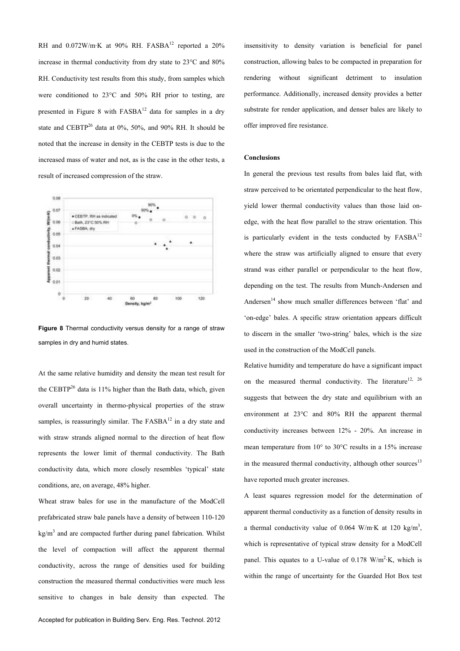RH and 0.072W/m·K at 90% RH. FASBA<sup>12</sup> reported a 20% increase in thermal conductivity from dry state to 23°C and 80% RH. Conductivity test results from this study, from samples which were conditioned to 23°C and 50% RH prior to testing, are presented in Figure 8 with  $FASBA<sup>12</sup>$  data for samples in a dry state and CEBTP<sup>26</sup> data at  $0\%$ , 50%, and 90% RH. It should be noted that the increase in density in the CEBTP tests is due to the increased mass of water and not, as is the case in the other tests, a result of increased compression of the straw.



**Figure 8** Thermal conductivity versus density for a range of straw samples in dry and humid states.

At the same relative humidity and density the mean test result for the CEBTP<sup>26</sup> data is 11% higher than the Bath data, which, given overall uncertainty in thermo-physical properties of the straw samples, is reassuringly similar. The  $FASBA<sup>12</sup>$  in a dry state and with straw strands aligned normal to the direction of heat flow represents the lower limit of thermal conductivity. The Bath conductivity data, which more closely resembles 'typical' state conditions, are, on average, 48% higher.

Wheat straw bales for use in the manufacture of the ModCell prefabricated straw bale panels have a density of between 110-120 kg/m<sup>3</sup> and are compacted further during panel fabrication. Whilst the level of compaction will affect the apparent thermal conductivity, across the range of densities used for building construction the measured thermal conductivities were much less sensitive to changes in bale density than expected. The insensitivity to density variation is beneficial for panel construction, allowing bales to be compacted in preparation for rendering without significant detriment to insulation performance. Additionally, increased density provides a better substrate for render application, and denser bales are likely to offer improved fire resistance.

### **Conclusions**

In general the previous test results from bales laid flat, with straw perceived to be orientated perpendicular to the heat flow, yield lower thermal conductivity values than those laid onedge, with the heat flow parallel to the straw orientation. This is particularly evident in the tests conducted by FASBA<sup>12</sup> where the straw was artificially aligned to ensure that every strand was either parallel or perpendicular to the heat flow, depending on the test. The results from Munch-Andersen and Andersen<sup>14</sup> show much smaller differences between 'flat' and 'on-edge' bales. A specific straw orientation appears difficult to discern in the smaller 'two-string' bales, which is the size used in the construction of the ModCell panels.

Relative humidity and temperature do have a significant impact on the measured thermal conductivity. The literature<sup>12, 26</sup> suggests that between the dry state and equilibrium with an environment at 23°C and 80% RH the apparent thermal conductivity increases between 12% - 20%. An increase in mean temperature from 10° to 30°C results in a 15% increase in the measured thermal conductivity, although other sources $13$ have reported much greater increases.

A least squares regression model for the determination of apparent thermal conductivity as a function of density results in a thermal conductivity value of 0.064 W/m·K at 120 kg/m<sup>3</sup>, which is representative of typical straw density for a ModCell panel. This equates to a U-value of  $0.178$  W/m<sup>2</sup>·K, which is within the range of uncertainty for the Guarded Hot Box test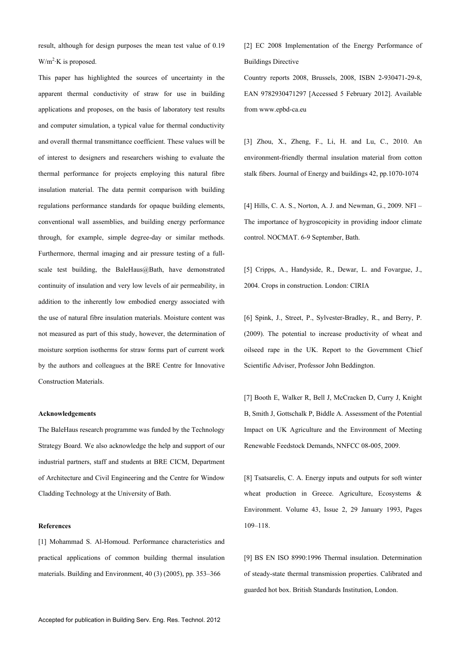result, although for design purposes the mean test value of 0.19  $W/m^2$  K is proposed.

This paper has highlighted the sources of uncertainty in the apparent thermal conductivity of straw for use in building applications and proposes, on the basis of laboratory test results and computer simulation, a typical value for thermal conductivity and overall thermal transmittance coefficient. These values will be of interest to designers and researchers wishing to evaluate the thermal performance for projects employing this natural fibre insulation material. The data permit comparison with building regulations performance standards for opaque building elements, conventional wall assemblies, and building energy performance through, for example, simple degree-day or similar methods. Furthermore, thermal imaging and air pressure testing of a fullscale test building, the BaleHaus@Bath, have demonstrated continuity of insulation and very low levels of air permeability, in addition to the inherently low embodied energy associated with the use of natural fibre insulation materials. Moisture content was not measured as part of this study, however, the determination of moisture sorption isotherms for straw forms part of current work by the authors and colleagues at the BRE Centre for Innovative Construction Materials.

### **Acknowledgements**

The BaleHaus research programme was funded by the Technology Strategy Board. We also acknowledge the help and support of our industrial partners, staff and students at BRE CICM, Department of Architecture and Civil Engineering and the Centre for Window Cladding Technology at the University of Bath.

### **References**

[1] Mohammad S. Al-Homoud. Performance characteristics and practical applications of common building thermal insulation materials. Building and Environment, 40 (3) (2005), pp. 353–366

[2] EC 2008 Implementation of the Energy Performance of Buildings Directive

Country reports 2008, Brussels, 2008, ISBN 2-930471-29-8, EAN 9782930471297 [Accessed 5 February 2012]. Available from www.epbd-ca.eu

[3] Zhou, X., Zheng, F., Li, H. and Lu, C., 2010. An environment-friendly thermal insulation material from cotton stalk fibers. Journal of Energy and buildings 42, pp.1070-1074

[4] Hills, C. A. S., Norton, A. J. and Newman, G., 2009. NFI – The importance of hygroscopicity in providing indoor climate control. NOCMAT. 6-9 September, Bath.

[5] Cripps, A., Handyside, R., Dewar, L. and Fovargue, J., 2004. Crops in construction. London: CIRIA

[6] Spink, J., Street, P., Sylvester-Bradley, R., and Berry, P. (2009). The potential to increase productivity of wheat and oilseed rape in the UK. Report to the Government Chief Scientific Adviser, Professor John Beddington.

[7] Booth E, Walker R, Bell J, McCracken D, Curry J, Knight B, Smith J, Gottschalk P, Biddle A. Assessment of the Potential Impact on UK Agriculture and the Environment of Meeting Renewable Feedstock Demands, NNFCC 08-005, 2009.

[8] Tsatsarelis, C. A. Energy inputs and outputs for soft winter wheat production in Greece. Agriculture, Ecosystems & Environment. Volume 43, Issue 2, 29 January 1993, Pages 109–118.

[9] BS EN ISO 8990:1996 Thermal insulation. Determination of steady-state thermal transmission properties. Calibrated and guarded hot box. British Standards Institution, London.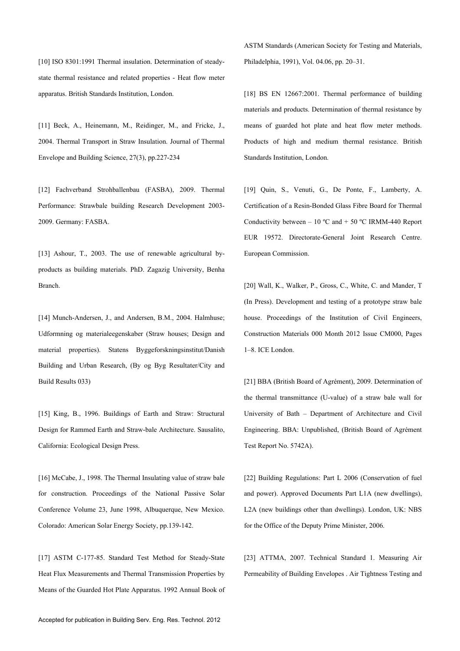[10] ISO 8301:1991 Thermal insulation. Determination of steadystate thermal resistance and related properties - Heat flow meter apparatus. British Standards Institution, London.

[11] Beck, A., Heinemann, M., Reidinger, M., and Fricke, J., 2004. Thermal Transport in Straw Insulation. Journal of Thermal Envelope and Building Science, 27(3), pp.227-234

[12] Fachverband Strohballenbau (FASBA), 2009. Thermal Performance: Strawbale building Research Development 2003- 2009. Germany: FASBA.

[13] Ashour, T., 2003. The use of renewable agricultural byproducts as building materials. PhD. Zagazig University, Benha Branch.

[14] Munch-Andersen, J., and Andersen, B.M., 2004. Halmhuse; Udformning og materialeegenskaber (Straw houses; Design and material properties). Statens Byggeforskningsinstitut/Danish Building and Urban Research, (By og Byg Resultater/City and Build Results 033)

[15] King, B., 1996. Buildings of Earth and Straw: Structural Design for Rammed Earth and Straw-bale Architecture. Sausalito, California: Ecological Design Press.

[16] McCabe, J., 1998. The Thermal Insulating value of straw bale for construction. Proceedings of the National Passive Solar Conference Volume 23, June 1998, Albuquerque, New Mexico. Colorado: American Solar Energy Society, pp.139-142.

[17] ASTM C-177-85. Standard Test Method for Steady-State Heat Flux Measurements and Thermal Transmission Properties by Means of the Guarded Hot Plate Apparatus. 1992 Annual Book of

ASTM Standards (American Society for Testing and Materials, Philadelphia, 1991), Vol. 04.06, pp. 20–31.

[18] BS EN 12667:2001. Thermal performance of building materials and products. Determination of thermal resistance by means of guarded hot plate and heat flow meter methods. Products of high and medium thermal resistance. British Standards Institution, London.

[19] Quin, S., Venuti, G., De Ponte, F., Lamberty, A. Certification of a Resin-Bonded Glass Fibre Board for Thermal Conductivity between  $-10$  °C and  $+50$  °C IRMM-440 Report EUR 19572. Directorate-General Joint Research Centre. European Commission.

[20] Wall, K., Walker, P., Gross, C., White, C. and Mander, T (In Press). Development and testing of a prototype straw bale house. Proceedings of the Institution of Civil Engineers, Construction Materials 000 Month 2012 Issue CM000, Pages 1–8. ICE London.

[21] BBA (British Board of Agrément), 2009. Determination of the thermal transmittance (U-value) of a straw bale wall for University of Bath – Department of Architecture and Civil Engineering. BBA: Unpublished, (British Board of Agrément Test Report No. 5742A).

[22] Building Regulations: Part L 2006 (Conservation of fuel and power). Approved Documents Part L1A (new dwellings), L2A (new buildings other than dwellings). London, UK: NBS for the Office of the Deputy Prime Minister, 2006.

[23] ATTMA, 2007. Technical Standard 1. Measuring Air Permeability of Building Envelopes . Air Tightness Testing and